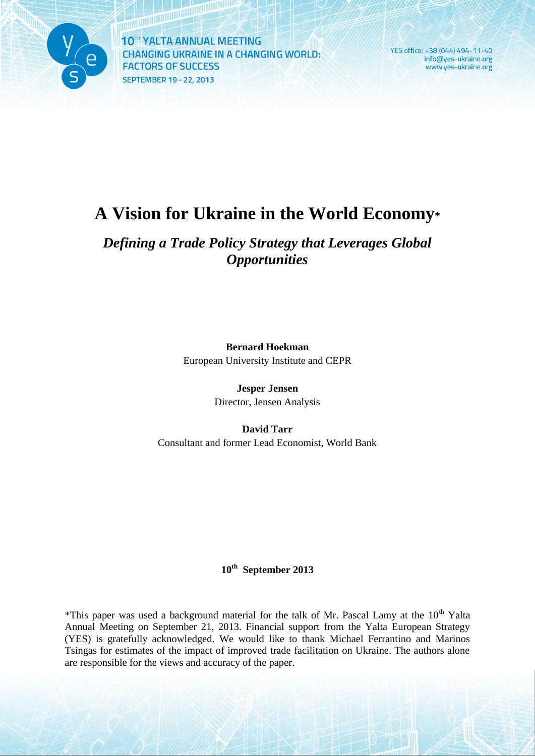

YES office: +38 (044) 494-11-40 info@yes-ukraine.org www.yes-ukraine.org

# **A Vision for Ukraine in the World Economy\***

### *Defining a Trade Policy Strategy that Leverages Global Opportunities*

**Bernard Hoekman** European University Institute and CEPR

> **Jesper Jensen** Director, Jensen Analysis

**David Tarr** Consultant and former Lead Economist, World Bank

### **10th September 2013**

\*This paper was used a background material for the talk of Mr. Pascal Lamy at the 10<sup>th</sup> Yalta Annual Meeting on September 21, 2013. Financial support from the Yalta European Strategy (YES) is gratefully acknowledged. We would like to thank Michael Ferrantino and Marinos Tsingas for estimates of the impact of improved trade facilitation on Ukraine. The authors alone are responsible for the views and accuracy of the paper.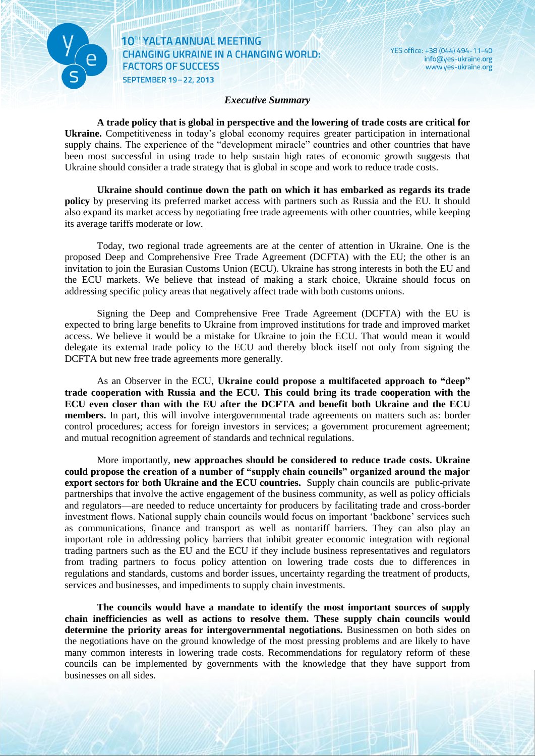

<u> El Islamin</u>

#### *Executive Summary*

YES office: +38 (044) 494-11-40

info@yes-ukraine.org

www.yes-ukraine.org

**A trade policy that is global in perspective and the lowering of trade costs are critical for Ukraine.** Competitiveness in today's global economy requires greater participation in international supply chains. The experience of the "development miracle" countries and other countries that have been most successful in using trade to help sustain high rates of economic growth suggests that Ukraine should consider a trade strategy that is global in scope and work to reduce trade costs.

**Ukraine should continue down the path on which it has embarked as regards its trade policy** by preserving its preferred market access with partners such as Russia and the EU. It should also expand its market access by negotiating free trade agreements with other countries, while keeping its average tariffs moderate or low.

Today, two regional trade agreements are at the center of attention in Ukraine. One is the proposed Deep and Comprehensive Free Trade Agreement (DCFTA) with the EU; the other is an invitation to join the Eurasian Customs Union (ECU). Ukraine has strong interests in both the EU and the ECU markets. We believe that instead of making a stark choice, Ukraine should focus on addressing specific policy areas that negatively affect trade with both customs unions.

Signing the Deep and Comprehensive Free Trade Agreement (DCFTA) with the EU is expected to bring large benefits to Ukraine from improved institutions for trade and improved market access. We believe it would be a mistake for Ukraine to join the ECU. That would mean it would delegate its external trade policy to the ECU and thereby block itself not only from signing the DCFTA but new free trade agreements more generally.

As an Observer in the ECU, **Ukraine could propose a multifaceted approach to "deep" trade cooperation with Russia and the ECU. This could bring its trade cooperation with the ECU even closer than with the EU after the DCFTA and benefit both Ukraine and the ECU members.** In part, this will involve intergovernmental trade agreements on matters such as: border control procedures; access for foreign investors in services; a government procurement agreement; and mutual recognition agreement of standards and technical regulations.

More importantly, **new approaches should be considered to reduce trade costs. Ukraine could propose the creation of a number of "supply chain councils" organized around the major export sectors for both Ukraine and the ECU countries.** Supply chain councils are public-private partnerships that involve the active engagement of the business community, as well as policy officials and regulators—are needed to reduce uncertainty for producers by facilitating trade and cross-border investment flows. National supply chain councils would focus on important 'backbone' services such as communications, finance and transport as well as nontariff barriers. They can also play an important role in addressing policy barriers that inhibit greater economic integration with regional trading partners such as the EU and the ECU if they include business representatives and regulators from trading partners to focus policy attention on lowering trade costs due to differences in regulations and standards, customs and border issues, uncertainty regarding the treatment of products, services and businesses, and impediments to supply chain investments.

**The councils would have a mandate to identify the most important sources of supply chain inefficiencies as well as actions to resolve them. These supply chain councils would determine the priority areas for intergovernmental negotiations.** Businessmen on both sides on the negotiations have on the ground knowledge of the most pressing problems and are likely to have many common interests in lowering trade costs. Recommendations for regulatory reform of these councils can be implemented by governments with the knowledge that they have support from businesses on all sides.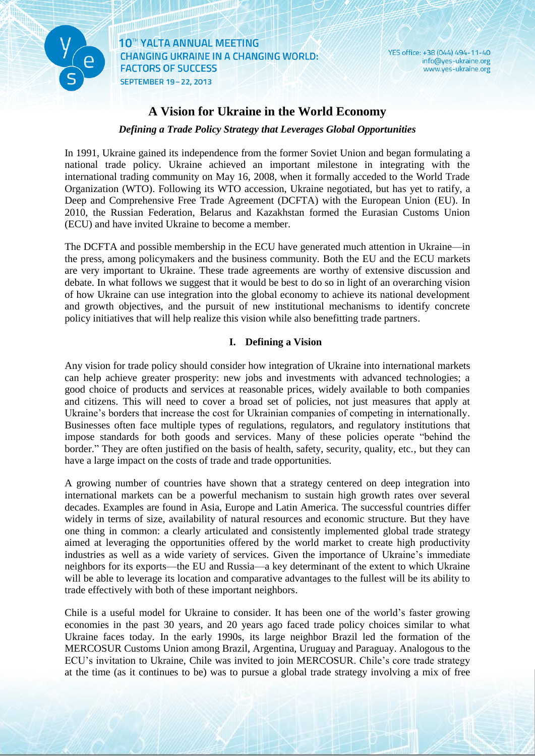

**The Communistration** 

YES office: +38 (044) 494-11-40 info@yes-ukraine.org www.yes-ukraine.org

### **A Vision for Ukraine in the World Economy**

*Defining a Trade Policy Strategy that Leverages Global Opportunities*

In 1991, Ukraine gained its independence from the former Soviet Union and began formulating a national trade policy. Ukraine achieved an important milestone in integrating with the international trading community on May 16, 2008, when it formally acceded to the World Trade Organization (WTO). Following its WTO accession, Ukraine negotiated, but has yet to ratify, a Deep and Comprehensive Free Trade Agreement (DCFTA) with the European Union (EU). In 2010, the Russian Federation, Belarus and Kazakhstan formed the Eurasian Customs Union (ECU) and have invited Ukraine to become a member.

The DCFTA and possible membership in the ECU have generated much attention in Ukraine—in the press, among policymakers and the business community. Both the EU and the ECU markets are very important to Ukraine. These trade agreements are worthy of extensive discussion and debate. In what follows we suggest that it would be best to do so in light of an overarching vision of how Ukraine can use integration into the global economy to achieve its national development and growth objectives, and the pursuit of new institutional mechanisms to identify concrete policy initiatives that will help realize this vision while also benefitting trade partners.

#### **I. Defining a Vision**

Any vision for trade policy should consider how integration of Ukraine into international markets can help achieve greater prosperity: new jobs and investments with advanced technologies; a good choice of products and services at reasonable prices, widely available to both companies and citizens. This will need to cover a broad set of policies, not just measures that apply at Ukraine's borders that increase the cost for Ukrainian companies of competing in internationally. Businesses often face multiple types of regulations, regulators, and regulatory institutions that impose standards for both goods and services. Many of these policies operate "behind the border." They are often justified on the basis of health, safety, security, quality, etc., but they can have a large impact on the costs of trade and trade opportunities.

A growing number of countries have shown that a strategy centered on deep integration into international markets can be a powerful mechanism to sustain high growth rates over several decades. Examples are found in Asia, Europe and Latin America. The successful countries differ widely in terms of size, availability of natural resources and economic structure. But they have one thing in common: a clearly articulated and consistently implemented global trade strategy aimed at leveraging the opportunities offered by the world market to create high productivity industries as well as a wide variety of services. Given the importance of Ukraine's immediate neighbors for its exports—the EU and Russia—a key determinant of the extent to which Ukraine will be able to leverage its location and comparative advantages to the fullest will be its ability to trade effectively with both of these important neighbors.

Chile is a useful model for Ukraine to consider. It has been one of the world's faster growing economies in the past 30 years, and 20 years ago faced trade policy choices similar to what Ukraine faces today. In the early 1990s, its large neighbor Brazil led the formation of the MERCOSUR Customs Union among Brazil, Argentina, Uruguay and Paraguay. Analogous to the ECU's invitation to Ukraine, Chile was invited to join MERCOSUR. Chile's core trade strategy at the time (as it continues to be) was to pursue a global trade strategy involving a mix of free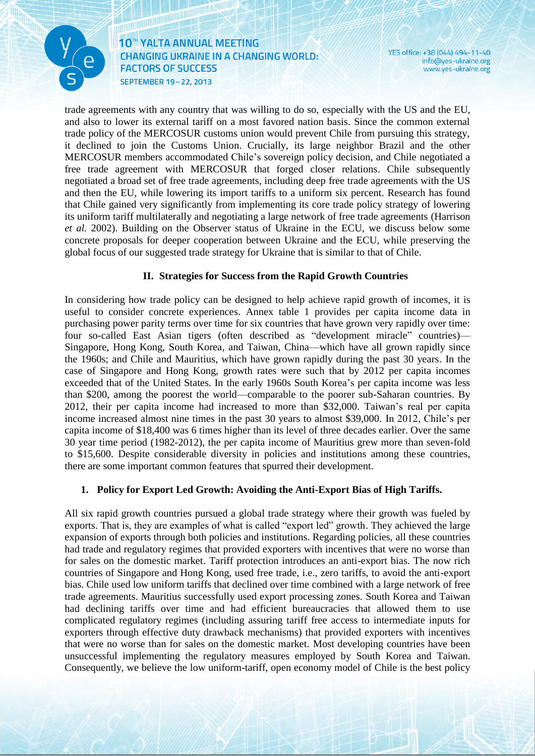

10<sup>th</sup> YALTA ANNUAL MEETING **CHANGING UKRAINE IN A CHANGING WORLD: FACTORS OF SUCCESS** SEPTEMBER 19-22, 2013

YES office: +38 (044) 494-11-40 info@yes-ukraine.org www.yes-ukraine.org

trade agreements with any country that was willing to do so, especially with the US and the EU, and also to lower its external tariff on a most favored nation basis. Since the common external trade policy of the MERCOSUR customs union would prevent Chile from pursuing this strategy, it declined to join the Customs Union. Crucially, its large neighbor Brazil and the other MERCOSUR members accommodated Chile's sovereign policy decision, and Chile negotiated a free trade agreement with MERCOSUR that forged closer relations. Chile subsequently negotiated a broad set of free trade agreements, including deep free trade agreements with the US and then the EU, while lowering its import tariffs to a uniform six percent. Research has found that Chile gained very significantly from implementing its core trade policy strategy of lowering its uniform tariff multilaterally and negotiating a large network of free trade agreements (Harrison *et al.* 2002). Building on the Observer status of Ukraine in the ECU, we discuss below some concrete proposals for deeper cooperation between Ukraine and the ECU, while preserving the global focus of our suggested trade strategy for Ukraine that is similar to that of Chile.

#### **II. Strategies for Success from the Rapid Growth Countries**

In considering how trade policy can be designed to help achieve rapid growth of incomes, it is useful to consider concrete experiences. Annex table 1 provides per capita income data in purchasing power parity terms over time for six countries that have grown very rapidly over time: four so-called East Asian tigers (often described as "development miracle" countries)— Singapore, Hong Kong, South Korea, and Taiwan, China—which have all grown rapidly since the 1960s; and Chile and Mauritius, which have grown rapidly during the past 30 years. In the case of Singapore and Hong Kong, growth rates were such that by 2012 per capita incomes exceeded that of the United States. In the early 1960s South Korea's per capita income was less than \$200, among the poorest the world—comparable to the poorer sub-Saharan countries. By 2012, their per capita income had increased to more than \$32,000. Taiwan's real per capita income increased almost nine times in the past 30 years to almost \$39,000. In 2012, Chile's per capita income of \$18,400 was 6 times higher than its level of three decades earlier. Over the same 30 year time period (1982-2012), the per capita income of Mauritius grew more than seven-fold to \$15,600. Despite considerable diversity in policies and institutions among these countries, there are some important common features that spurred their development.

#### **1. Policy for Export Led Growth: Avoiding the Anti-Export Bias of High Tariffs.**

All six rapid growth countries pursued a global trade strategy where their growth was fueled by exports. That is, they are examples of what is called "export led" growth. They achieved the large expansion of exports through both policies and institutions. Regarding policies, all these countries had trade and regulatory regimes that provided exporters with incentives that were no worse than for sales on the domestic market. Tariff protection introduces an anti-export bias. The now rich countries of Singapore and Hong Kong, used free trade, i.e., zero tariffs, to avoid the anti-export bias. Chile used low uniform tariffs that declined over time combined with a large network of free trade agreements. Mauritius successfully used export processing zones. South Korea and Taiwan had declining tariffs over time and had efficient bureaucracies that allowed them to use complicated regulatory regimes (including assuring tariff free access to intermediate inputs for exporters through effective duty drawback mechanisms) that provided exporters with incentives that were no worse than for sales on the domestic market. Most developing countries have been unsuccessful implementing the regulatory measures employed by South Korea and Taiwan. Consequently, we believe the low uniform-tariff, open economy model of Chile is the best policy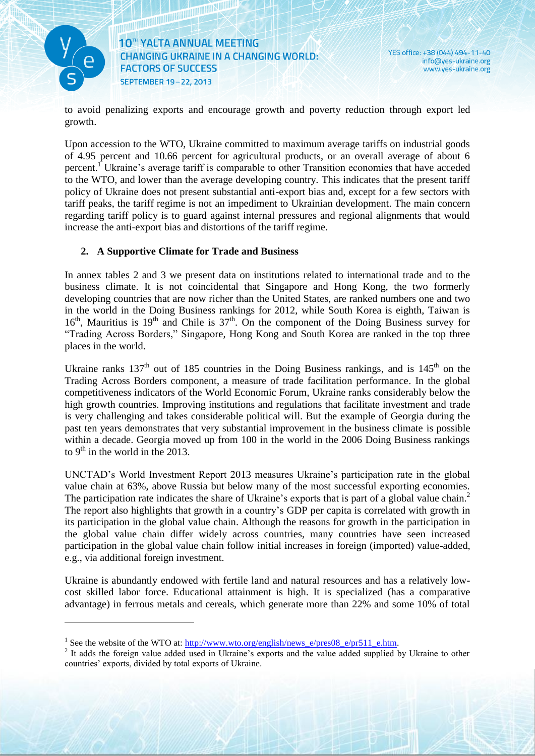

1

10<sup>th</sup> YALTA ANNUAL MEETING **CHANGING UKRAINE IN A CHANGING WORLD: FACTORS OF SUCCESS** SEPTEMBER 19-22, 2013

<u> Karatanan Kabupatén Ing Padra Barat Ing Pada Barat Ing Pada Barat Ing Pada Barat Ing Pada Barat Ing Pada Barat Ing Pada Barat Ing Pada Barat Ing Pada Barat Ing Pada Barat Ing Pada Barat Ing Pada Barat Ing Pada Barat Ing </u>

YES office: +38 (044) 494-11-40 info@yes-ukraine.org www.yes-ukraine.org

to avoid penalizing exports and encourage growth and poverty reduction through export led growth.

Upon accession to the WTO, Ukraine committed to maximum average tariffs on industrial goods of 4.95 percent and 10.66 percent for agricultural products, or an overall average of about 6 percent.<sup>1</sup> Ukraine's average tariff is comparable to other Transition economies that have acceded to the WTO, and lower than the average developing country. This indicates that the present tariff policy of Ukraine does not present substantial anti-export bias and, except for a few sectors with tariff peaks, the tariff regime is not an impediment to Ukrainian development. The main concern regarding tariff policy is to guard against internal pressures and regional alignments that would increase the anti-export bias and distortions of the tariff regime.

#### **2. A Supportive Climate for Trade and Business**

In annex tables 2 and 3 we present data on institutions related to international trade and to the business climate. It is not coincidental that Singapore and Hong Kong, the two formerly developing countries that are now richer than the United States, are ranked numbers one and two in the world in the Doing Business rankings for 2012, while South Korea is eighth, Taiwan is  $16<sup>th</sup>$ , Mauritius is  $19<sup>th</sup>$  and Chile is  $37<sup>th</sup>$ . On the component of the Doing Business survey for "Trading Across Borders," Singapore, Hong Kong and South Korea are ranked in the top three places in the world.

Ukraine ranks  $137<sup>th</sup>$  out of 185 countries in the Doing Business rankings, and is  $145<sup>th</sup>$  on the Trading Across Borders component, a measure of trade facilitation performance. In the global competitiveness indicators of the World Economic Forum, Ukraine ranks considerably below the high growth countries. Improving institutions and regulations that facilitate investment and trade is very challenging and takes considerable political will. But the example of Georgia during the past ten years demonstrates that very substantial improvement in the business climate is possible within a decade. Georgia moved up from 100 in the world in the 2006 Doing Business rankings to  $9<sup>th</sup>$  in the world in the 2013.

UNCTAD's World Investment Report 2013 measures Ukraine's participation rate in the global value chain at 63%, above Russia but below many of the most successful exporting economies. The participation rate indicates the share of Ukraine's exports that is part of a global value chain.<sup>2</sup> The report also highlights that growth in a country's GDP per capita is correlated with growth in its participation in the global value chain. Although the reasons for growth in the participation in the global value chain differ widely across countries, many countries have seen increased participation in the global value chain follow initial increases in foreign (imported) value-added, e.g., via additional foreign investment.

Ukraine is abundantly endowed with fertile land and natural resources and has a relatively lowcost skilled labor force. Educational attainment is high. It is specialized (has a comparative advantage) in ferrous metals and cereals, which generate more than 22% and some 10% of total

<sup>&</sup>lt;sup>1</sup> See the website of the WTO at:  $\frac{http://www.wto.org/english/news_e/pres08_e/pr511_e.htm}{http://www.wto.org/english/news_e/pres08_e/pr511_e.htm}$ .

<sup>&</sup>lt;sup>2</sup> It adds the foreign value added used in Ukraine's exports and the value added supplied by Ukraine to other countries' exports, divided by total exports of Ukraine.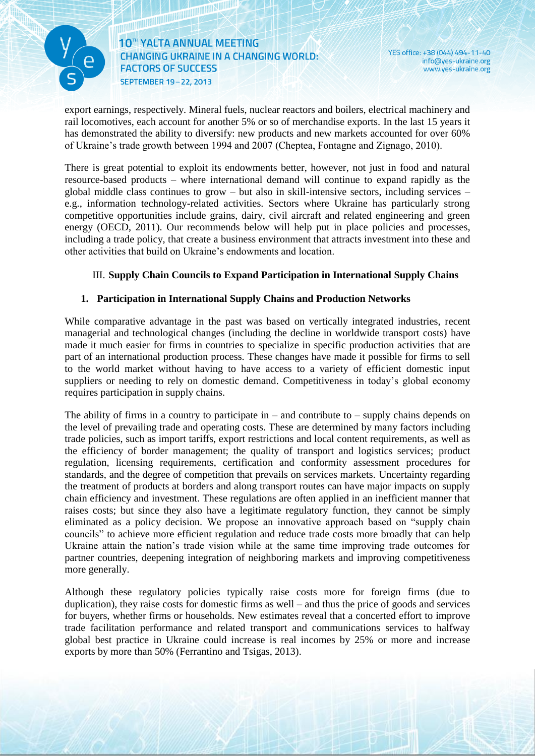

<u> Karatinin Sarajan (</u>

YES office: +38 (044) 494-11-40 info@yes-ukraine.org www.yes-ukraine.org

export earnings, respectively. Mineral fuels, nuclear reactors and boilers, electrical machinery and rail locomotives, each account for another 5% or so of merchandise exports. In the last 15 years it has demonstrated the ability to diversify: new products and new markets accounted for over 60% of Ukraine's trade growth between 1994 and 2007 (Cheptea, Fontagne and Zignago, 2010).

There is great potential to exploit its endowments better, however, not just in food and natural resource-based products – where international demand will continue to expand rapidly as the global middle class continues to grow – but also in skill-intensive sectors, including services – e.g., information technology-related activities. Sectors where Ukraine has particularly strong competitive opportunities include grains, dairy, civil aircraft and related engineering and green energy (OECD, 2011). Our recommends below will help put in place policies and processes, including a trade policy, that create a business environment that attracts investment into these and other activities that build on Ukraine's endowments and location.

#### III. **Supply Chain Councils to Expand Participation in International Supply Chains**

#### **1. Participation in International Supply Chains and Production Networks**

While comparative advantage in the past was based on vertically integrated industries, recent managerial and technological changes (including the decline in worldwide transport costs) have made it much easier for firms in countries to specialize in specific production activities that are part of an international production process. These changes have made it possible for firms to sell to the world market without having to have access to a variety of efficient domestic input suppliers or needing to rely on domestic demand. Competitiveness in today's global economy requires participation in supply chains.

The ability of firms in a country to participate in – and contribute to – supply chains depends on the level of prevailing trade and operating costs. These are determined by many factors including trade policies, such as import tariffs, export restrictions and local content requirements, as well as the efficiency of border management; the quality of transport and logistics services; product regulation, licensing requirements, certification and conformity assessment procedures for standards, and the degree of competition that prevails on services markets. Uncertainty regarding the treatment of products at borders and along transport routes can have major impacts on supply chain efficiency and investment. These regulations are often applied in an inefficient manner that raises costs; but since they also have a legitimate regulatory function, they cannot be simply eliminated as a policy decision. We propose an innovative approach based on "supply chain councils" to achieve more efficient regulation and reduce trade costs more broadly that can help Ukraine attain the nation's trade vision while at the same time improving trade outcomes for partner countries, deepening integration of neighboring markets and improving competitiveness more generally.

Although these regulatory policies typically raise costs more for foreign firms (due to duplication), they raise costs for domestic firms as well – and thus the price of goods and services for buyers, whether firms or households. New estimates reveal that a concerted effort to improve trade facilitation performance and related transport and communications services to halfway global best practice in Ukraine could increase is real incomes by 25% or more and increase exports by more than 50% (Ferrantino and Tsigas, 2013).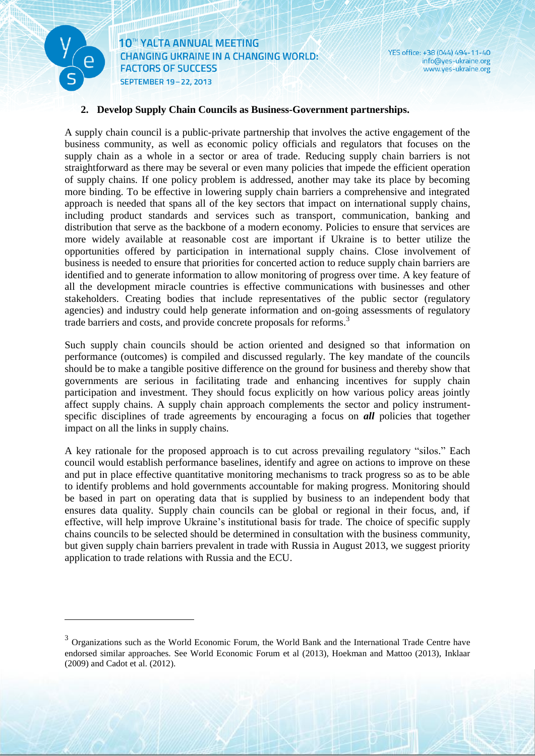

<u>.</u>

10<sup>th</sup> YALTA ANNUAL MEETING **CHANGING UKRAINE IN A CHANGING WORLD: FACTORS OF SUCCESS** SEPTEMBER 19-22, 2013

**The Communist Street** 

YES office: +38 (044) 494-11-40 info@yes-ukraine.org www.yes-ukraine.org

#### **2. Develop Supply Chain Councils as Business-Government partnerships.**

A supply chain council is a public-private partnership that involves the active engagement of the business community, as well as economic policy officials and regulators that focuses on the supply chain as a whole in a sector or area of trade. Reducing supply chain barriers is not straightforward as there may be several or even many policies that impede the efficient operation of supply chains. If one policy problem is addressed, another may take its place by becoming more binding. To be effective in lowering supply chain barriers a comprehensive and integrated approach is needed that spans all of the key sectors that impact on international supply chains, including product standards and services such as transport, communication, banking and distribution that serve as the backbone of a modern economy. Policies to ensure that services are more widely available at reasonable cost are important if Ukraine is to better utilize the opportunities offered by participation in international supply chains. Close involvement of business is needed to ensure that priorities for concerted action to reduce supply chain barriers are identified and to generate information to allow monitoring of progress over time. A key feature of all the development miracle countries is effective communications with businesses and other stakeholders. Creating bodies that include representatives of the public sector (regulatory agencies) and industry could help generate information and on-going assessments of regulatory trade barriers and costs, and provide concrete proposals for reforms.<sup>3</sup>

Such supply chain councils should be action oriented and designed so that information on performance (outcomes) is compiled and discussed regularly. The key mandate of the councils should be to make a tangible positive difference on the ground for business and thereby show that governments are serious in facilitating trade and enhancing incentives for supply chain participation and investment. They should focus explicitly on how various policy areas jointly affect supply chains. A supply chain approach complements the sector and policy instrumentspecific disciplines of trade agreements by encouraging a focus on **all** policies that together impact on all the links in supply chains.

A key rationale for the proposed approach is to cut across prevailing regulatory "silos." Each council would establish performance baselines, identify and agree on actions to improve on these and put in place effective quantitative monitoring mechanisms to track progress so as to be able to identify problems and hold governments accountable for making progress. Monitoring should be based in part on operating data that is supplied by business to an independent body that ensures data quality. Supply chain councils can be global or regional in their focus, and, if effective, will help improve Ukraine's institutional basis for trade. The choice of specific supply chains councils to be selected should be determined in consultation with the business community, but given supply chain barriers prevalent in trade with Russia in August 2013, we suggest priority application to trade relations with Russia and the ECU.

<sup>&</sup>lt;sup>3</sup> Organizations such as the World Economic Forum, the World Bank and the International Trade Centre have endorsed similar approaches. See World Economic Forum et al (2013), Hoekman and Mattoo (2013), Inklaar (2009) and Cadot et al. (2012).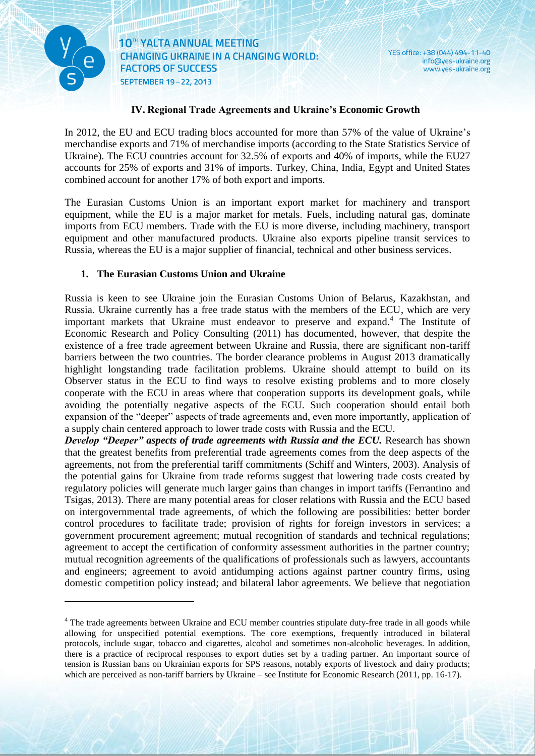

**The Communistration** 

1

10<sup>th</sup> YALTA ANNUAL MEETING **CHANGING UKRAINE IN A CHANGING WORLD: FACTORS OF SUCCESS** SEPTEMBER 19-22, 2013

YES office: +38 (044) 494-11-40 info@yes-ukraine.org www.yes-ukraine.org

#### **IV. Regional Trade Agreements and Ukraine's Economic Growth**

In 2012, the EU and ECU trading blocs accounted for more than 57% of the value of Ukraine's merchandise exports and 71% of merchandise imports (according to the State Statistics Service of Ukraine). The ECU countries account for 32.5% of exports and 40% of imports, while the EU27 accounts for 25% of exports and 31% of imports. Turkey, China, India, Egypt and United States combined account for another 17% of both export and imports.

The Eurasian Customs Union is an important export market for machinery and transport equipment, while the EU is a major market for metals. Fuels, including natural gas, dominate imports from ECU members. Trade with the EU is more diverse, including machinery, transport equipment and other manufactured products. Ukraine also exports pipeline transit services to Russia, whereas the EU is a major supplier of financial, technical and other business services.

#### **1. The Eurasian Customs Union and Ukraine**

Russia is keen to see Ukraine join the Eurasian Customs Union of Belarus, Kazakhstan, and Russia. Ukraine currently has a free trade status with the members of the ECU, which are very important markets that Ukraine must endeavor to preserve and expand.<sup>4</sup> The Institute of Economic Research and Policy Consulting (2011) has documented, however, that despite the existence of a free trade agreement between Ukraine and Russia, there are significant non-tariff barriers between the two countries. The border clearance problems in August 2013 dramatically highlight longstanding trade facilitation problems. Ukraine should attempt to build on its Observer status in the ECU to find ways to resolve existing problems and to more closely cooperate with the ECU in areas where that cooperation supports its development goals, while avoiding the potentially negative aspects of the ECU. Such cooperation should entail both expansion of the "deeper" aspects of trade agreements and, even more importantly, application of a supply chain centered approach to lower trade costs with Russia and the ECU.

*Develop "Deeper" aspects of trade agreements with Russia and the ECU.* Research has shown that the greatest benefits from preferential trade agreements comes from the deep aspects of the agreements, not from the preferential tariff commitments (Schiff and Winters, 2003). Analysis of the potential gains for Ukraine from trade reforms suggest that lowering trade costs created by regulatory policies will generate much larger gains than changes in import tariffs (Ferrantino and Tsigas, 2013). There are many potential areas for closer relations with Russia and the ECU based on intergovernmental trade agreements, of which the following are possibilities: better border control procedures to facilitate trade; provision of rights for foreign investors in services; a government procurement agreement; mutual recognition of standards and technical regulations; agreement to accept the certification of conformity assessment authorities in the partner country; mutual recognition agreements of the qualifications of professionals such as lawyers, accountants and engineers; agreement to avoid antidumping actions against partner country firms, using domestic competition policy instead; and bilateral labor agreements. We believe that negotiation

<sup>&</sup>lt;sup>4</sup> The trade agreements between Ukraine and ECU member countries stipulate duty-free trade in all goods while allowing for unspecified potential exemptions. The core exemptions, frequently introduced in bilateral protocols, include sugar, tobacco and cigarettes, alcohol and sometimes non-alcoholic beverages. In addition, there is a practice of reciprocal responses to export duties set by a trading partner. An important source of tension is Russian bans on Ukrainian exports for SPS reasons, notably exports of livestock and dairy products; which are perceived as non-tariff barriers by Ukraine – see Institute for Economic Research (2011, pp. 16-17).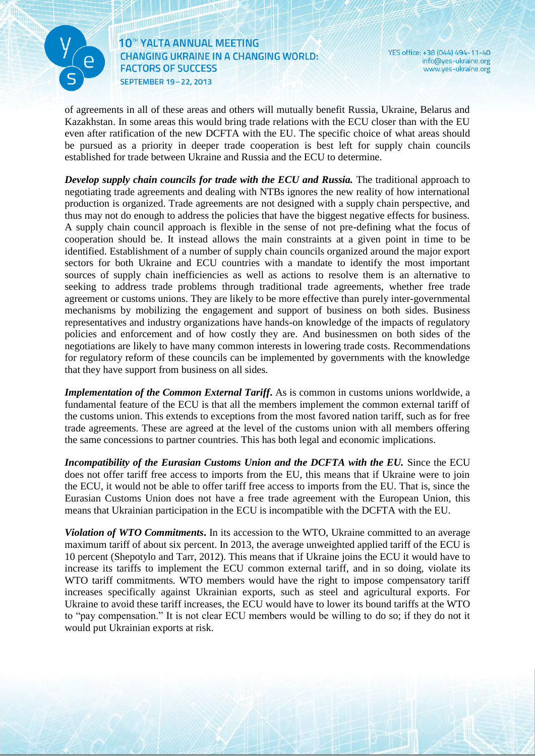

<u> Kataluna (Kataluna (Kataluna (Kataluna (Kataluna (Kataluna (Kataluna (Kataluna (Kataluna (Kataluna (Kataluna (Kataluna (Kataluna (Kataluna (Kataluna (Kataluna (Kataluna (Kataluna (Kataluna (Kataluna (Kataluna (Kataluna (</u>

YES office: +38 (044) 494-11-40 info@yes-ukraine.org www.yes-ukraine.org

of agreements in all of these areas and others will mutually benefit Russia, Ukraine, Belarus and Kazakhstan. In some areas this would bring trade relations with the ECU closer than with the EU even after ratification of the new DCFTA with the EU. The specific choice of what areas should be pursued as a priority in deeper trade cooperation is best left for supply chain councils established for trade between Ukraine and Russia and the ECU to determine.

*Develop supply chain councils for trade with the ECU and Russia.* The traditional approach to negotiating trade agreements and dealing with NTBs ignores the new reality of how international production is organized. Trade agreements are not designed with a supply chain perspective, and thus may not do enough to address the policies that have the biggest negative effects for business. A supply chain council approach is flexible in the sense of not pre-defining what the focus of cooperation should be. It instead allows the main constraints at a given point in time to be identified. Establishment of a number of supply chain councils organized around the major export sectors for both Ukraine and ECU countries with a mandate to identify the most important sources of supply chain inefficiencies as well as actions to resolve them is an alternative to seeking to address trade problems through traditional trade agreements, whether free trade agreement or customs unions. They are likely to be more effective than purely inter-governmental mechanisms by mobilizing the engagement and support of business on both sides. Business representatives and industry organizations have hands-on knowledge of the impacts of regulatory policies and enforcement and of how costly they are. And businessmen on both sides of the negotiations are likely to have many common interests in lowering trade costs. Recommendations for regulatory reform of these councils can be implemented by governments with the knowledge that they have support from business on all sides.

*Implementation of the Common External Tariff***.** As is common in customs unions worldwide, a fundamental feature of the ECU is that all the members implement the common external tariff of the customs union. This extends to exceptions from the most favored nation tariff, such as for free trade agreements. These are agreed at the level of the customs union with all members offering the same concessions to partner countries. This has both legal and economic implications.

*Incompatibility of the Eurasian Customs Union and the DCFTA with the EU.* Since the ECU does not offer tariff free access to imports from the EU, this means that if Ukraine were to join the ECU, it would not be able to offer tariff free access to imports from the EU. That is, since the Eurasian Customs Union does not have a free trade agreement with the European Union, this means that Ukrainian participation in the ECU is incompatible with the DCFTA with the EU.

*Violation of WTO Commitments***.** In its accession to the WTO, Ukraine committed to an average maximum tariff of about six percent. In 2013, the average unweighted applied tariff of the ECU is 10 percent (Shepotylo and Tarr, 2012). This means that if Ukraine joins the ECU it would have to increase its tariffs to implement the ECU common external tariff, and in so doing, violate its WTO tariff commitments. WTO members would have the right to impose compensatory tariff increases specifically against Ukrainian exports, such as steel and agricultural exports. For Ukraine to avoid these tariff increases, the ECU would have to lower its bound tariffs at the WTO to "pay compensation." It is not clear ECU members would be willing to do so; if they do not it would put Ukrainian exports at risk.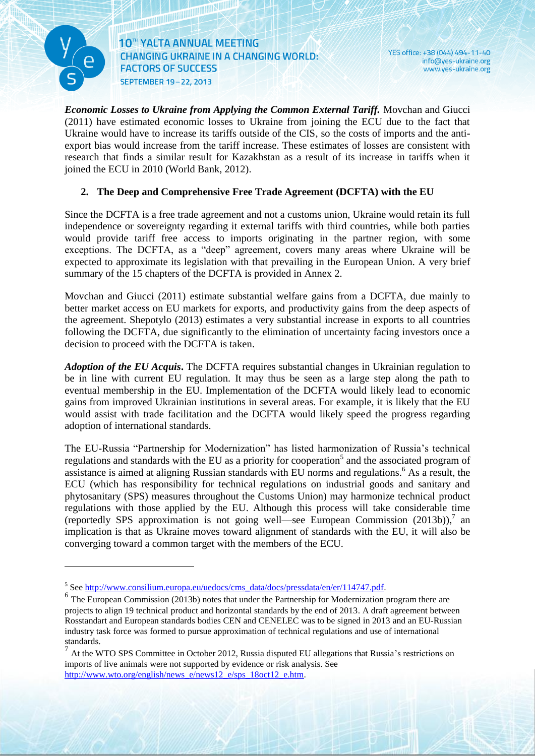

<u>.</u>

10<sup>th</sup> YALTA ANNUAL MEETING **CHANGING UKRAINE IN A CHANGING WORLD: FACTORS OF SUCCESS** SEPTEMBER 19-22, 2013

YES office: +38 (044) 494-11-40 info@yes-ukraine.org www.yes-ukraine.org

*Economic Losses to Ukraine from Applying the Common External Tariff.* Movchan and Giucci (2011) have estimated economic losses to Ukraine from joining the ECU due to the fact that Ukraine would have to increase its tariffs outside of the CIS, so the costs of imports and the antiexport bias would increase from the tariff increase. These estimates of losses are consistent with research that finds a similar result for Kazakhstan as a result of its increase in tariffs when it joined the ECU in 2010 (World Bank, 2012).

#### **2. The Deep and Comprehensive Free Trade Agreement (DCFTA) with the EU**

Since the DCFTA is a free trade agreement and not a customs union, Ukraine would retain its full independence or sovereignty regarding it external tariffs with third countries, while both parties would provide tariff free access to imports originating in the partner region, with some exceptions. The DCFTA, as a "deep" agreement, covers many areas where Ukraine will be expected to approximate its legislation with that prevailing in the European Union. A very brief summary of the 15 chapters of the DCFTA is provided in Annex 2.

Movchan and Giucci (2011) estimate substantial welfare gains from a DCFTA, due mainly to better market access on EU markets for exports, and productivity gains from the deep aspects of the agreement. Shepotylo (2013) estimates a very substantial increase in exports to all countries following the DCFTA, due significantly to the elimination of uncertainty facing investors once a decision to proceed with the DCFTA is taken.

*Adoption of the EU Acquis***.** The DCFTA requires substantial changes in Ukrainian regulation to be in line with current EU regulation. It may thus be seen as a large step along the path to eventual membership in the EU. Implementation of the DCFTA would likely lead to economic gains from improved Ukrainian institutions in several areas. For example, it is likely that the EU would assist with trade facilitation and the DCFTA would likely speed the progress regarding adoption of international standards.

The EU-Russia "Partnership for Modernization" has listed harmonization of Russia's technical regulations and standards with the EU as a priority for cooperation<sup>5</sup> and the associated program of assistance is aimed at aligning Russian standards with EU norms and regulations.<sup>6</sup> As a result, the ECU (which has responsibility for technical regulations on industrial goods and sanitary and phytosanitary (SPS) measures throughout the Customs Union) may harmonize technical product regulations with those applied by the EU. Although this process will take considerable time (reportedly SPS approximation is not going well—see European Commission (2013b)), 7 an implication is that as Ukraine moves toward alignment of standards with the EU, it will also be converging toward a common target with the members of the ECU.

<sup>&</sup>lt;sup>5</sup> Se[e http://www.consilium.europa.eu/uedocs/cms\\_data/docs/pressdata/en/er/114747.pdf.](http://www.consilium.europa.eu/uedocs/cms_data/docs/pressdata/en/er/114747.pdf)

<sup>&</sup>lt;sup>6</sup> The European Commission (2013b) notes that under the Partnership for Modernization program there are projects to align 19 technical product and horizontal standards by the end of 2013. A draft agreement between Rosstandart and European standards bodies CEN and CENELEC was to be signed in 2013 and an EU-Russian industry task force was formed to pursue approximation of technical regulations and use of international standards.

 $<sup>7</sup>$  At the WTO SPS Committee in October 2012, Russia disputed EU allegations that Russia's restrictions on</sup> imports of live animals were not supported by evidence or risk analysis. See [http://www.wto.org/english/news\\_e/news12\\_e/sps\\_18oct12\\_e.htm.](http://www.wto.org/english/news_e/news12_e/sps_18oct12_e.htm)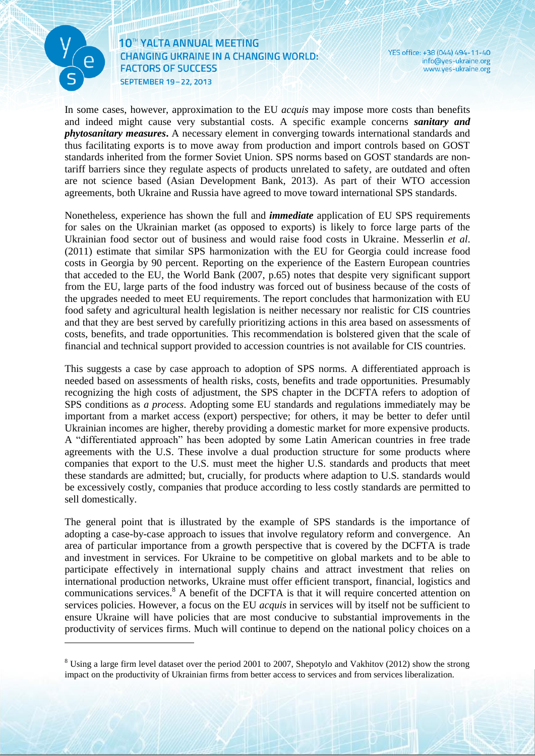

**The Communistration** 

<u>.</u>

10<sup>th</sup> YALTA ANNUAL MEETING **CHANGING UKRAINE IN A CHANGING WORLD: FACTORS OF SUCCESS** SEPTEMBER 19-22, 2013

YES office: +38 (044) 494-11-40 info@yes-ukraine.org www.yes-ukraine.org

In some cases, however, approximation to the EU *acquis* may impose more costs than benefits and indeed might cause very substantial costs. A specific example concerns *sanitary and phytosanitary measures***.** A necessary element in converging towards international standards and thus facilitating exports is to move away from production and import controls based on GOST standards inherited from the former Soviet Union. SPS norms based on GOST standards are nontariff barriers since they regulate aspects of products unrelated to safety, are outdated and often are not science based (Asian Development Bank, 2013). As part of their WTO accession agreements, both Ukraine and Russia have agreed to move toward international SPS standards.

Nonetheless, experience has shown the full and *immediate* application of EU SPS requirements for sales on the Ukrainian market (as opposed to exports) is likely to force large parts of the Ukrainian food sector out of business and would raise food costs in Ukraine. Messerlin *et al*. (2011) estimate that similar SPS harmonization with the EU for Georgia could increase food costs in Georgia by 90 percent. Reporting on the experience of the Eastern European countries that acceded to the EU, the World Bank (2007, p.65) notes that despite very significant support from the EU, large parts of the food industry was forced out of business because of the costs of the upgrades needed to meet EU requirements. The report concludes that harmonization with EU food safety and agricultural health legislation is neither necessary nor realistic for CIS countries and that they are best served by carefully prioritizing actions in this area based on assessments of costs, benefits, and trade opportunities. This recommendation is bolstered given that the scale of financial and technical support provided to accession countries is not available for CIS countries.

This suggests a case by case approach to adoption of SPS norms. A differentiated approach is needed based on assessments of health risks, costs, benefits and trade opportunities. Presumably recognizing the high costs of adjustment, the SPS chapter in the DCFTA refers to adoption of SPS conditions as *a process*. Adopting some EU standards and regulations immediately may be important from a market access (export) perspective; for others, it may be better to defer until Ukrainian incomes are higher, thereby providing a domestic market for more expensive products. A "differentiated approach" has been adopted by some Latin American countries in free trade agreements with the U.S. These involve a dual production structure for some products where companies that export to the U.S. must meet the higher U.S. standards and products that meet these standards are admitted; but, crucially, for products where adaption to U.S. standards would be excessively costly, companies that produce according to less costly standards are permitted to sell domestically.

The general point that is illustrated by the example of SPS standards is the importance of adopting a case-by-case approach to issues that involve regulatory reform and convergence. An area of particular importance from a growth perspective that is covered by the DCFTA is trade and investment in services. For Ukraine to be competitive on global markets and to be able to participate effectively in international supply chains and attract investment that relies on international production networks, Ukraine must offer efficient transport, financial, logistics and communications services.<sup>8</sup> A benefit of the DCFTA is that it will require concerted attention on services policies. However, a focus on the EU *acquis* in services will by itself not be sufficient to ensure Ukraine will have policies that are most conducive to substantial improvements in the productivity of services firms. Much will continue to depend on the national policy choices on a

<sup>&</sup>lt;sup>8</sup> Using a large firm level dataset over the period 2001 to 2007, Shepotylo and Vakhitov (2012) show the strong impact on the productivity of Ukrainian firms from better access to services and from services liberalization.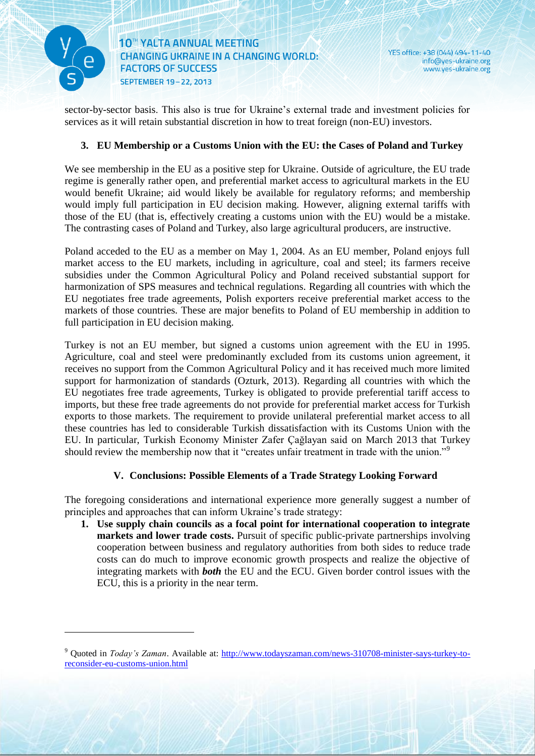

<u>.</u>

<u> Karatanan Kabupatén Ing Padra Barat Ing Pada Barat Ing Pada Barat Ing Pada Barat Ing Pada Barat Ing Pada Barat Ing Pada Barat Ing Pada Barat Ing Pada Barat Ing Pada Barat Ing Pada Barat Ing Pada Barat Ing Pada Barat Ing </u>

sector-by-sector basis. This also is true for Ukraine's external trade and investment policies for services as it will retain substantial discretion in how to treat foreign (non-EU) investors.

#### **3. EU Membership or a Customs Union with the EU: the Cases of Poland and Turkey**

We see membership in the EU as a positive step for Ukraine. Outside of agriculture, the EU trade regime is generally rather open, and preferential market access to agricultural markets in the EU would benefit Ukraine; aid would likely be available for regulatory reforms; and membership would imply full participation in EU decision making. However, aligning external tariffs with those of the EU (that is, effectively creating a customs union with the EU) would be a mistake. The contrasting cases of Poland and Turkey, also large agricultural producers, are instructive.

Poland acceded to the EU as a member on May 1, 2004. As an EU member, Poland enjoys full market access to the EU markets, including in agriculture, coal and steel; its farmers receive subsidies under the Common Agricultural Policy and Poland received substantial support for harmonization of SPS measures and technical regulations. Regarding all countries with which the EU negotiates free trade agreements, Polish exporters receive preferential market access to the markets of those countries. These are major benefits to Poland of EU membership in addition to full participation in EU decision making.

Turkey is not an EU member, but signed a customs union agreement with the EU in 1995. Agriculture, coal and steel were predominantly excluded from its customs union agreement, it receives no support from the Common Agricultural Policy and it has received much more limited support for harmonization of standards (Ozturk, 2013). Regarding all countries with which the EU negotiates free trade agreements, Turkey is obligated to provide preferential tariff access to imports, but these free trade agreements do not provide for preferential market access for Turkish exports to those markets. The requirement to provide unilateral preferential market access to all these countries has led to considerable Turkish dissatisfaction with its Customs Union with the EU. In particular, Turkish Economy Minister Zafer Çağlayan said on March 2013 that Turkey should review the membership now that it "creates unfair treatment in trade with the union."<sup>9</sup>

#### **V. Conclusions: Possible Elements of a Trade Strategy Looking Forward**

The foregoing considerations and international experience more generally suggest a number of principles and approaches that can inform Ukraine's trade strategy:

**1. Use supply chain councils as a focal point for international cooperation to integrate markets and lower trade costs.** Pursuit of specific public-private partnerships involving cooperation between business and regulatory authorities from both sides to reduce trade costs can do much to improve economic growth prospects and realize the objective of integrating markets with *both* the EU and the ECU. Given border control issues with the ECU, this is a priority in the near term.

<sup>9</sup> Quoted in *Today's Zaman*. Available at: [http://www.todayszaman.com/news-310708-minister-says-turkey-to](http://www.todayszaman.com/news-310708-minister-says-turkey-to-reconsider-eu-customs-union.html)[reconsider-eu-customs-union.html](http://www.todayszaman.com/news-310708-minister-says-turkey-to-reconsider-eu-customs-union.html)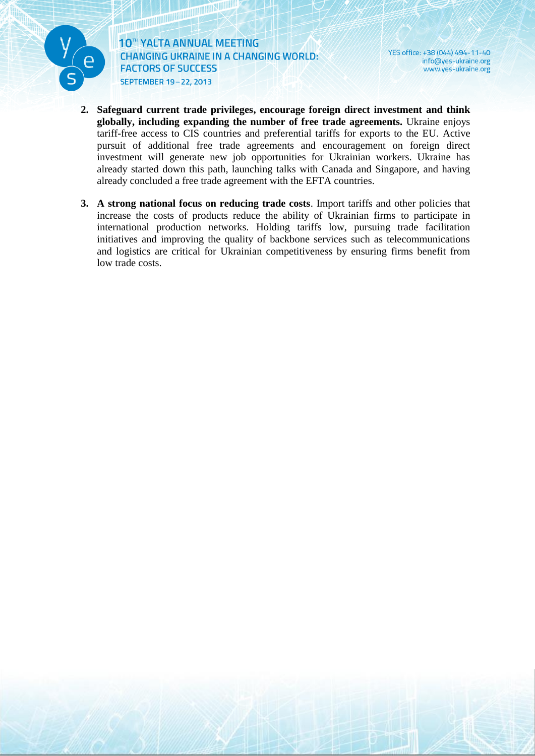

YES office: +38 (044) 494-11-40 info@yes-ukraine.org www.yes-ukraine.org

- **2. Safeguard current trade privileges, encourage foreign direct investment and think globally, including expanding the number of free trade agreements.** Ukraine enjoys tariff-free access to CIS countries and preferential tariffs for exports to the EU. Active pursuit of additional free trade agreements and encouragement on foreign direct investment will generate new job opportunities for Ukrainian workers. Ukraine has already started down this path, launching talks with Canada and Singapore, and having already concluded a free trade agreement with the EFTA countries.
- **3. A strong national focus on reducing trade costs**. Import tariffs and other policies that increase the costs of products reduce the ability of Ukrainian firms to participate in international production networks. Holding tariffs low, pursuing trade facilitation initiatives and improving the quality of backbone services such as telecommunications and logistics are critical for Ukrainian competitiveness by ensuring firms benefit from low trade costs.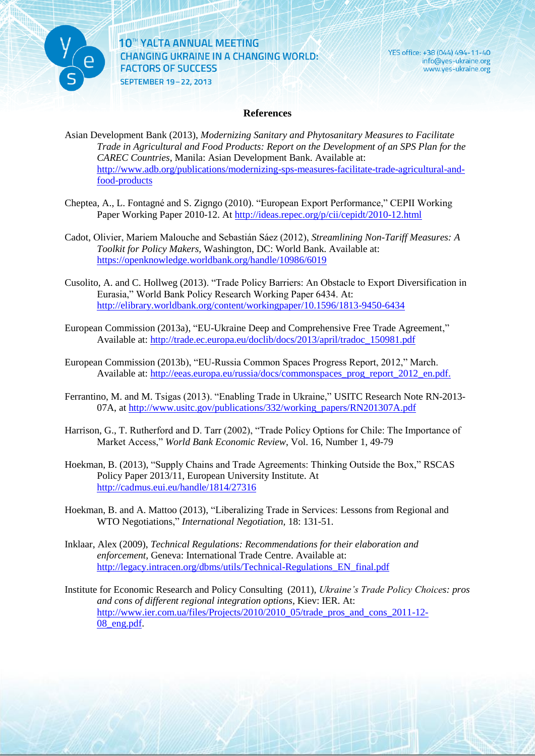

YES office: +38 (044) 494-11-40 info@yes-ukraine.org www.yes-ukraine.org

#### **References**

Asian Development Bank (2013), *Modernizing Sanitary and Phytosanitary Measures to Facilitate Trade in Agricultural and Food Products: Report on the Development of an SPS Plan for the CAREC Countries*, Manila: Asian Development Bank. Available at: [http://www.adb.org/publications/modernizing-sps-measures-facilitate-trade-agricultural-and](http://www.adb.org/publications/modernizing-sps-measures-facilitate-trade-agricultural-and-food-products)[food-products](http://www.adb.org/publications/modernizing-sps-measures-facilitate-trade-agricultural-and-food-products)

- Cheptea, A., L. Fontagné and S. Zigngo (2010). "European Export Performance," CEPII Working Paper Working Paper 2010-12. At<http://ideas.repec.org/p/cii/cepidt/2010-12.html>
- Cadot, Olivier, Mariem Malouche and Sebastián Sáez (2012), *Streamlining Non-Tariff Measures: A Toolkit for Policy Makers,* Washington, DC: World Bank. Available at: <https://openknowledge.worldbank.org/handle/10986/6019>
- Cusolito, A. and C. Hollweg (2013). "Trade Policy Barriers: An Obstacle to Export Diversification in Eurasia," World Bank Policy Research Working Paper 6434. At: <http://elibrary.worldbank.org/content/workingpaper/10.1596/1813-9450-6434>
- European Commission (2013a), "EU-Ukraine Deep and Comprehensive Free Trade Agreement," Available at: [http://trade.ec.europa.eu/doclib/docs/2013/april/tradoc\\_150981.pdf](http://trade.ec.europa.eu/doclib/docs/2013/april/tradoc_150981.pdf)
- European Commission (2013b), "EU-Russia Common Spaces Progress Report, 2012," March. Available at: http://eeas.europa.eu/russia/docs/commonspaces\_prog\_report\_2012\_en.pdf.
- Ferrantino, M. and M. Tsigas (2013). "Enabling Trade in Ukraine," USITC Research Note RN-2013- 07A, at [http://www.usitc.gov/publications/332/working\\_papers/RN201307A.pdf](http://www.usitc.gov/publications/332/working_papers/RN201307A.pdf)
- Harrison, G., T. Rutherford and D. Tarr (2002), "Trade Policy Options for Chile: The Importance of Market Access," *World Bank Economic Review*, Vol. 16, Number 1, 49-79
- Hoekman, B. (2013), "Supply Chains and Trade Agreements: Thinking Outside the Box," RSCAS Policy Paper 2013/11, European University Institute. At http://cadmus.eui.eu/handle/1814/27316
- Hoekman, B. and A. Mattoo (2013), "Liberalizing Trade in Services: Lessons from Regional and WTO Negotiations," *International Negotiation,* 18: 131-51.
- Inklaar, Alex (2009), *Technical Regulations: Recommendations for their elaboration and enforcement,* Geneva: International Trade Centre. Available at: [http://legacy.intracen.org/dbms/utils/Technical-Regulations\\_EN\\_final.pdf](http://legacy.intracen.org/dbms/utils/Technical-Regulations_EN_final.pdf)
- Institute for Economic Research and Policy Consulting (2011), *Ukraine's Trade Policy Choices: pros and cons of different regional integration options,* Kiev: IER. At: [http://www.ier.com.ua/files/Projects/2010/2010\\_05/trade\\_pros\\_and\\_cons\\_2011-12-](http://www.ier.com.ua/files/Projects/2010/2010_05/trade_pros_and_cons_2011-12-08_eng.pdf) [08\\_eng.pdf.](http://www.ier.com.ua/files/Projects/2010/2010_05/trade_pros_and_cons_2011-12-08_eng.pdf)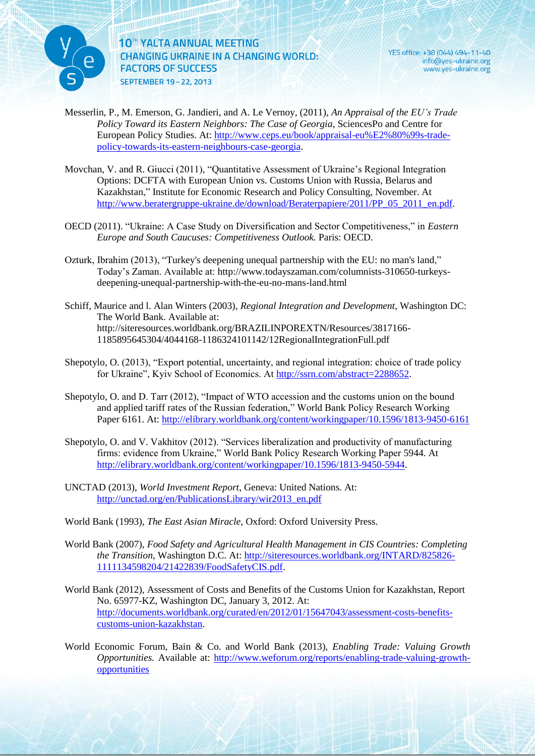

YES office: +38 (044) 494-11-40 info@yes-ukraine.org www.yes-ukraine.org

- Messerlin, P., M. Emerson, G. Jandieri, and A. Le Vernoy, (2011), *An Appraisal of the EU's Trade Policy Toward its Eastern Neighbors: The Case of Georgia*, SciencesPo and Centre for European Policy Studies. At: [http://www.ceps.eu/book/appraisal-eu%E2%80%99s-trade](http://www.ceps.eu/book/appraisal-eu%E2%80%99s-trade-policy-towards-its-eastern-neighbours-case-georgia)[policy-towards-its-eastern-neighbours-case-georgia.](http://www.ceps.eu/book/appraisal-eu%E2%80%99s-trade-policy-towards-its-eastern-neighbours-case-georgia)
- Movchan, V. and R. Giucci (2011), "Quantitative Assessment of Ukraine's Regional Integration Options: DCFTA with European Union vs. Customs Union with Russia, Belarus and Kazakhstan," Institute for Economic Research and Policy Consulting, November. At [http://www.beratergruppe-ukraine.de/download/Beraterpapiere/2011/PP\\_05\\_2011\\_en.pdf.](http://www.beratergruppe-ukraine.de/download/Beraterpapiere/2011/PP_05_2011_en.pdf)
- OECD (2011). "Ukraine: A Case Study on Diversification and Sector Competitiveness," in *Eastern Europe and South Caucuses: Competitiveness Outlook.* Paris: OECD.
- Ozturk, Ibrahim (2013), "Turkey's deepening unequal partnership with the EU: no man's land," Today's Zaman. Available at: http://www.todayszaman.com/columnists-310650-turkeysdeepening-unequal-partnership-with-the-eu-no-mans-land.html
- Schiff, Maurice and l. Alan Winters (2003), *Regional Integration and Development*, Washington DC: The World Bank. Available at: http://siteresources.worldbank.org/BRAZILINPOREXTN/Resources/3817166- 1185895645304/4044168-1186324101142/12RegionalIntegrationFull.pdf
- Shepotylo, O. (2013), "Export potential, uncertainty, and regional integration: choice of trade policy for Ukraine", Kyiv School of Economics. At [http://ssrn.com/abstract=2288652.](http://ssrn.com/abstract=2288652)
- Shepotylo, O. and D. Tarr (2012), "Impact of WTO accession and the customs union on the bound and applied tariff rates of the Russian federation," World Bank Policy Research Working Paper 6161. At:<http://elibrary.worldbank.org/content/workingpaper/10.1596/1813-9450-6161>
- Shepotylo, O. and V. Vakhitov (2012). "Services liberalization and productivity of manufacturing firms: evidence from Ukraine," World Bank Policy Research Working Paper 5944. At [http://elibrary.worldbank.org/content/workingpaper/10.1596/1813-9450-5944.](http://elibrary.worldbank.org/content/workingpaper/10.1596/1813-9450-5944)
- UNCTAD (2013), *World Investment Report*, Geneva: United Nations. At: [http://unctad.org/en/PublicationsLibrary/wir2013\\_en.pdf](http://unctad.org/en/PublicationsLibrary/wir2013_en.pdf)
- World Bank (1993), *The East Asian Miracle*, Oxford: Oxford University Press.
- World Bank (2007), *Food Safety and Agricultural Health Management in CIS Countries: Completing the Transition*, Washington D.C. At: [http://siteresources.worldbank.org/INTARD/825826-](http://siteresources.worldbank.org/INTARD/825826-1111134598204/21422839/FoodSafetyCIS.pdf) [1111134598204/21422839/FoodSafetyCIS.pdf.](http://siteresources.worldbank.org/INTARD/825826-1111134598204/21422839/FoodSafetyCIS.pdf)
- World Bank (2012), Assessment of Costs and Benefits of the Customs Union for Kazakhstan, Report No. 65977-KZ, Washington DC, January 3, 2012. At: [http://documents.worldbank.org/curated/en/2012/01/15647043/assessment-costs-benefits](http://documents.worldbank.org/curated/en/2012/01/15647043/assessment-costs-benefits-customs-union-kazakhstan)[customs-union-kazakhstan.](http://documents.worldbank.org/curated/en/2012/01/15647043/assessment-costs-benefits-customs-union-kazakhstan)
- World Economic Forum, Bain & Co. and World Bank (2013), *Enabling Trade: Valuing Growth Opportunities.* Available at: [http://www.weforum.org/reports/enabling-trade-valuing-growth](http://www.weforum.org/reports/enabling-trade-valuing-growth-opportunities)[opportunities](http://www.weforum.org/reports/enabling-trade-valuing-growth-opportunities)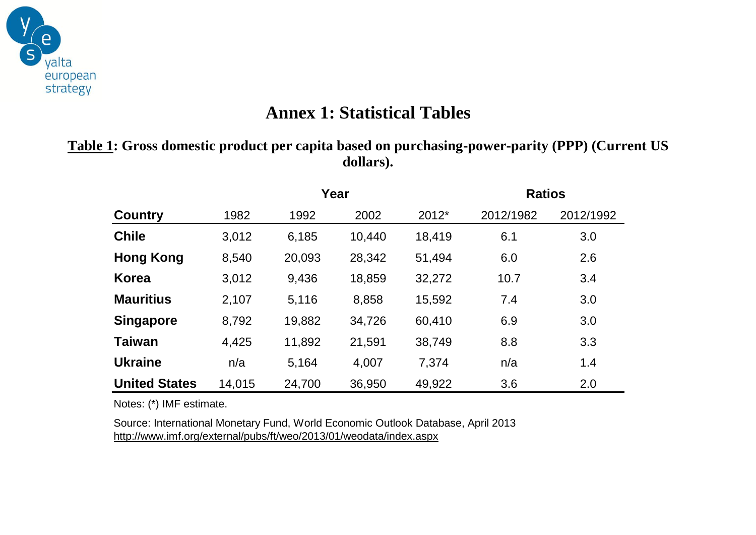

# **Annex 1: Statistical Tables**

**Table 1: Gross domestic product per capita based on purchasing-power-parity (PPP) (Current US dollars).**

|                      |        | Year   |        |        | <b>Ratios</b> |           |  |
|----------------------|--------|--------|--------|--------|---------------|-----------|--|
| <b>Country</b>       | 1982   | 1992   | 2002   | 2012*  | 2012/1982     | 2012/1992 |  |
| <b>Chile</b>         | 3,012  | 6,185  | 10,440 | 18,419 | 6.1           | 3.0       |  |
| <b>Hong Kong</b>     | 8,540  | 20,093 | 28,342 | 51,494 | 6.0           | 2.6       |  |
| <b>Korea</b>         | 3,012  | 9,436  | 18,859 | 32,272 | 10.7          | 3.4       |  |
| <b>Mauritius</b>     | 2,107  | 5,116  | 8,858  | 15,592 | 7.4           | 3.0       |  |
| <b>Singapore</b>     | 8,792  | 19,882 | 34,726 | 60,410 | 6.9           | 3.0       |  |
| <b>Taiwan</b>        | 4,425  | 11,892 | 21,591 | 38,749 | 8.8           | 3.3       |  |
| <b>Ukraine</b>       | n/a    | 5,164  | 4,007  | 7,374  | n/a           | 1.4       |  |
| <b>United States</b> | 14,015 | 24,700 | 36,950 | 49,922 | 3.6           | 2.0       |  |

Notes: (\*) IMF estimate.

Source: International Monetary Fund, World Economic Outlook Database, April 2013 http://www.imf.org/external/pubs/ft/weo/2013/01/weodata/index.aspx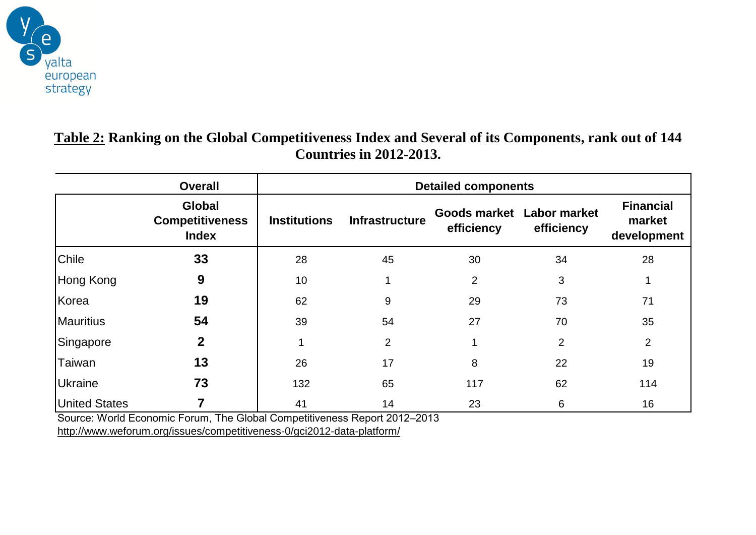

## **Table 2: Ranking on the Global Competitiveness Index and Several of its Components, rank out of 144 Countries in 2012-2013.**

|                                                                           | <b>Overall</b>                                          | <b>Detailed components</b> |                       |                                         |                |                                           |  |  |
|---------------------------------------------------------------------------|---------------------------------------------------------|----------------------------|-----------------------|-----------------------------------------|----------------|-------------------------------------------|--|--|
|                                                                           | <b>Global</b><br><b>Competitiveness</b><br><b>Index</b> | <b>Institutions</b>        | <b>Infrastructure</b> | Goods market Labor market<br>efficiency | efficiency     | <b>Financial</b><br>market<br>development |  |  |
| <b>Chile</b>                                                              | 33                                                      | 28                         | 45                    | 30                                      | 34             | 28                                        |  |  |
| Hong Kong                                                                 | 9                                                       | 10                         |                       | $\overline{2}$                          | 3              |                                           |  |  |
| Korea                                                                     | 19                                                      | 62                         | 9                     | 29                                      | 73             | 71                                        |  |  |
| Mauritius                                                                 | 54                                                      | 39                         | 54                    | 27                                      | 70             | 35                                        |  |  |
| Singapore                                                                 | $\mathbf 2$                                             |                            | $\overline{2}$        |                                         | $\overline{2}$ | $\overline{2}$                            |  |  |
| Taiwan                                                                    | 13                                                      | 26                         | 17                    | 8                                       | 22             | 19                                        |  |  |
| <b>Ukraine</b>                                                            | 73                                                      | 132                        | 65                    | 117                                     | 62             | 114                                       |  |  |
| <b>United States</b>                                                      |                                                         | 41                         | 14                    | 23                                      | 6              | 16                                        |  |  |
| Source: World Economic Forum, The Global Competitiveness Report 2012-2013 |                                                         |                            |                       |                                         |                |                                           |  |  |

http://www.weforum.org/issues/competitiveness-0/gci2012-data-platform/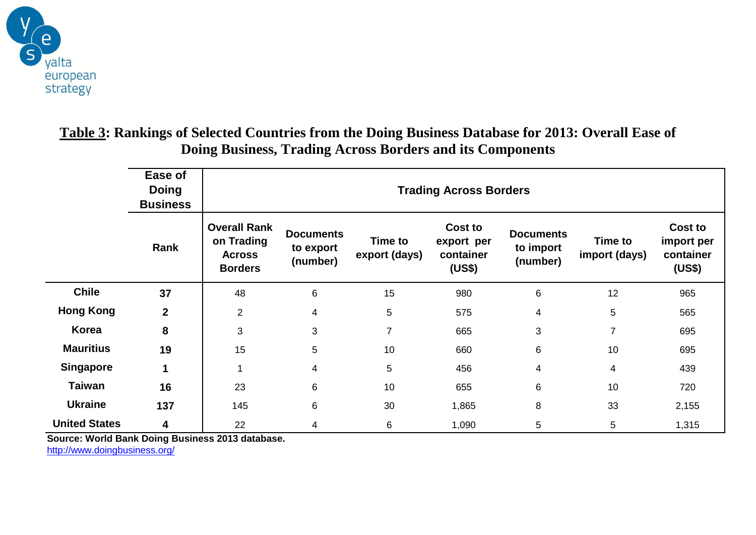

## **Table 3: Rankings of Selected Countries from the Doing Business Database for 2013: Overall Ease of Doing Business, Trading Across Borders and its Components**

|                      | Ease of<br><b>Doing</b><br><b>Business</b> | <b>Trading Across Borders</b>                                        |                                           |                          |                                              |                                           |                          |                                              |  |
|----------------------|--------------------------------------------|----------------------------------------------------------------------|-------------------------------------------|--------------------------|----------------------------------------------|-------------------------------------------|--------------------------|----------------------------------------------|--|
|                      | Rank                                       | <b>Overall Rank</b><br>on Trading<br><b>Across</b><br><b>Borders</b> | <b>Documents</b><br>to export<br>(number) | Time to<br>export (days) | Cost to<br>export per<br>container<br>(US\$) | <b>Documents</b><br>to import<br>(number) | Time to<br>import (days) | Cost to<br>import per<br>container<br>(US\$) |  |
| <b>Chile</b>         | 37                                         | 48                                                                   | 6                                         | 15                       | 980                                          | 6                                         | 12                       | 965                                          |  |
| <b>Hong Kong</b>     | $\mathbf{2}$                               | $\overline{2}$                                                       | 4                                         | 5                        | 575                                          | 4                                         | 5                        | 565                                          |  |
| <b>Korea</b>         | 8                                          | 3                                                                    | 3                                         | $\overline{7}$           | 665                                          | 3                                         | $\overline{7}$           | 695                                          |  |
| <b>Mauritius</b>     | 19                                         | 15                                                                   | 5                                         | 10                       | 660                                          | 6                                         | 10                       | 695                                          |  |
| <b>Singapore</b>     | 1                                          | 1                                                                    | 4                                         | 5                        | 456                                          | 4                                         | 4                        | 439                                          |  |
| <b>Taiwan</b>        | 16                                         | 23                                                                   | 6                                         | 10                       | 655                                          | 6                                         | 10                       | 720                                          |  |
| <b>Ukraine</b>       | 137                                        | 145                                                                  | 6                                         | 30                       | 1,865                                        | 8                                         | 33                       | 2,155                                        |  |
| <b>United States</b> | 4                                          | 22                                                                   | 4                                         | 6                        | 1,090                                        | 5                                         | 5                        | 1,315                                        |  |

**Source: World Bank Doing Business 2013 database.**

http://www.doingbusiness.org/